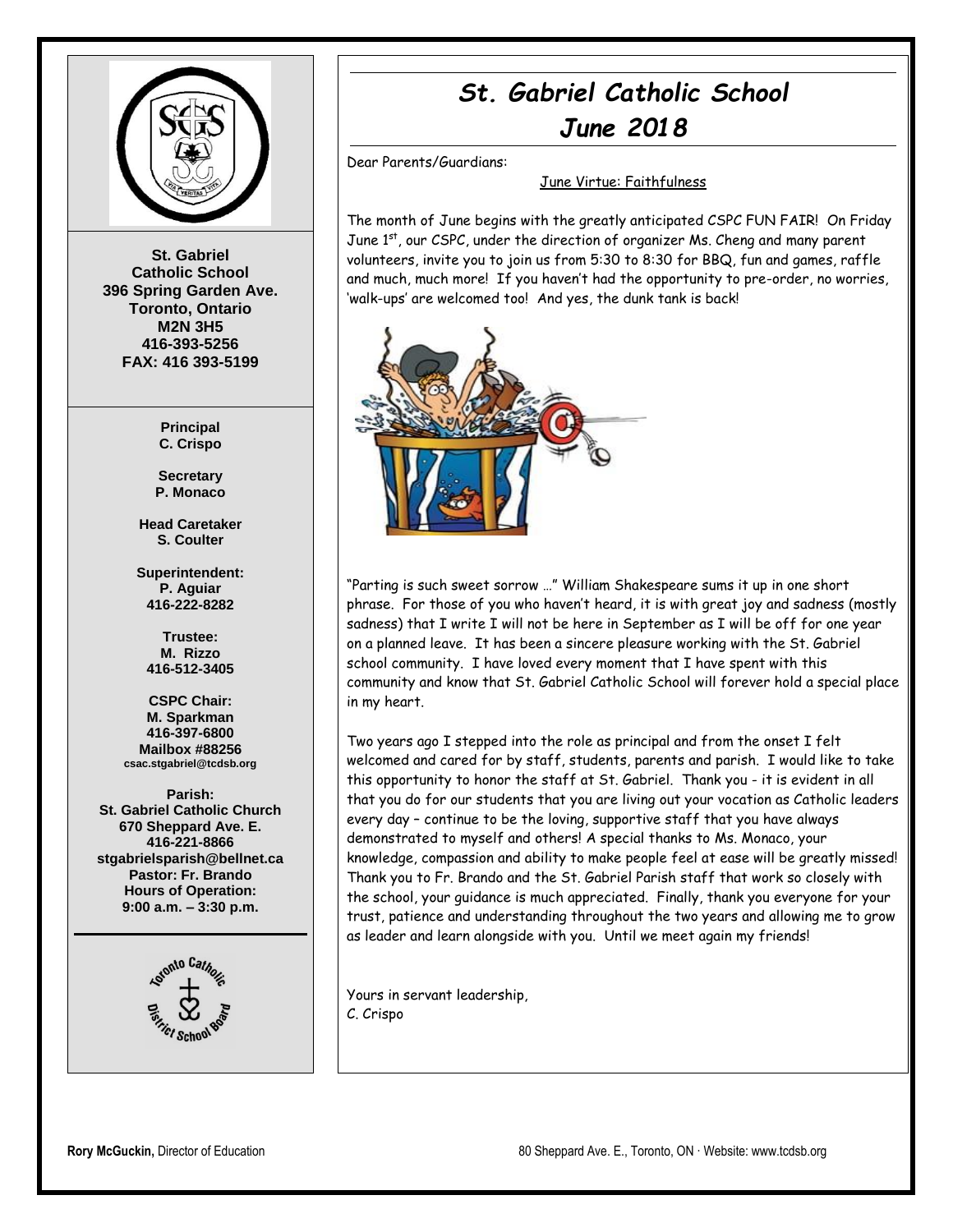

**St. Gabriel Catholic School 396 Spring Garden Ave. Toronto, Ontario M2N 3H5 416-393-5256 FAX: 416 393-5199**

> **Principal C. Crispo**

**Secretary P. Monaco**

**Head Caretaker S. Coulter**

**Superintendent: P. Aguiar 416-222-8282**

**Trustee: M. Rizzo 416-512-3405**

**CSPC Chair: M. Sparkman 416-397-6800 Mailbox #88256 csac.stgabriel@tcdsb.org**

**Parish: St. Gabriel Catholic Church 670 Sheppard Ave. E. 416-221-8866 stgabrielsparish@bellnet.ca Pastor: Fr. Brando Hours of Operation: 9:00 a.m. – 3:30 p.m.**



## *St. Gabriel Catholic School June 2018*

Dear Parents/Guardians:

June Virtue: Faithfulness

The month of June begins with the greatly anticipated CSPC FUN FAIR! On Friday June 1<sup>st</sup>, our CSPC, under the direction of organizer Ms. Cheng and many parent volunteers, invite you to join us from 5:30 to 8:30 for BBQ, fun and games, raffle and much, much more! If you haven't had the opportunity to pre-order, no worries, 'walk-ups' are welcomed too! And yes, the dunk tank is back!



"Parting is such sweet sorrow …" William Shakespeare sums it up in one short phrase. For those of you who haven't heard, it is with great joy and sadness (mostly sadness) that I write I will not be here in September as I will be off for one year on a planned leave. It has been a sincere pleasure working with the St. Gabriel school community. I have loved every moment that I have spent with this community and know that St. Gabriel Catholic School will forever hold a special place in my heart.

Two years ago I stepped into the role as principal and from the onset I felt welcomed and cared for by staff, students, parents and parish. I would like to take this opportunity to honor the staff at St. Gabriel. Thank you - it is evident in all that you do for our students that you are living out your vocation as Catholic leaders every day – continue to be the loving, supportive staff that you have always demonstrated to myself and others! A special thanks to Ms. Monaco, your knowledge, compassion and ability to make people feel at ease will be greatly missed! Thank you to Fr. Brando and the St. Gabriel Parish staff that work so closely with the school, your guidance is much appreciated. Finally, thank you everyone for your trust, patience and understanding throughout the two years and allowing me to grow as leader and learn alongside with you. Until we meet again my friends!

Yours in servant leadership, C. Crispo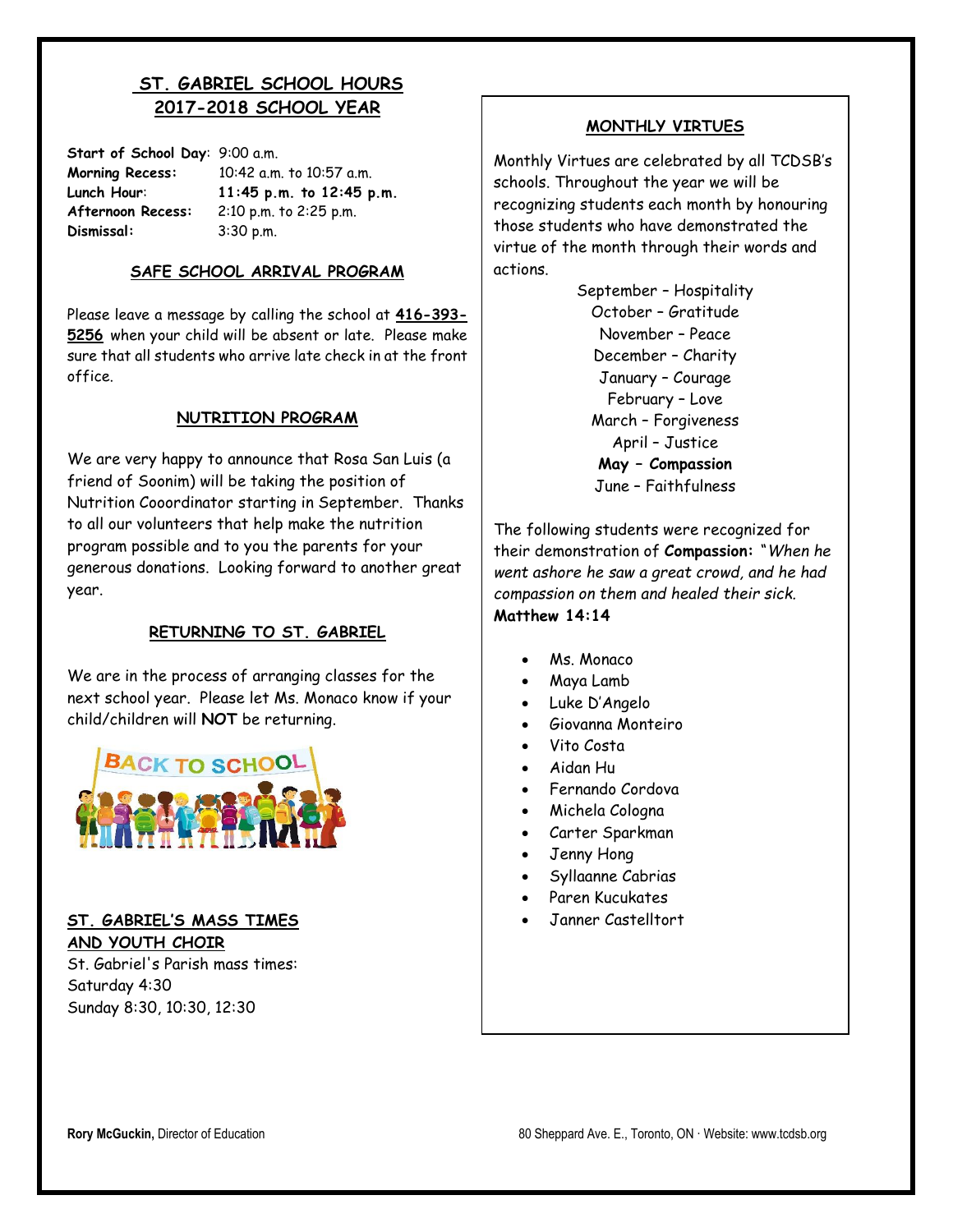## **ST. GABRIEL SCHOOL HOURS 2017-2018 SCHOOL YEAR**

| Start of School Day: 9:00 a.m. |                          |  |
|--------------------------------|--------------------------|--|
| <b>Morning Recess:</b>         | 10:42 a.m. to 10:57 a.m. |  |
| Lunch Hour:                    | 11:45 p.m. to 12:45 p.m. |  |
| Afternoon Recess:              | 2:10 p.m. to 2:25 p.m.   |  |
| Dismissal:                     | 3:30 p.m.                |  |

**SAFE SCHOOL ARRIVAL PROGRAM**

Please leave a message by calling the school at **416-393- 5256** when your child will be absent or late. Please make sure that all students who arrive late check in at the front office.

#### **NUTRITION PROGRAM**

We are very happy to announce that Rosa San Luis (a friend of Soonim) will be taking the position of Nutrition Cooordinator starting in September. Thanks to all our volunteers that help make the nutrition program possible and to you the parents for your generous donations. Looking forward to another great year.

#### **RETURNING TO ST. GABRIEL**

We are in the process of arranging classes for the next school year. Please let Ms. Monaco know if your child/children will **NOT** be returning.



#### **ST. GABRIEL'S MASS TIMES AND YOUTH CHOIR**

St. Gabriel's Parish mass times: Saturday 4:30 Sunday 8:30, 10:30, 12:30

#### **MONTHLY VIRTUES**

Monthly Virtues are celebrated by all TCDSB's schools. Throughout the year we will be recognizing students each month by honouring those students who have demonstrated the virtue of the month through their words and actions.

> September – Hospitality October – Gratitude November – Peace December – Charity January – Courage February – Love March – Forgiveness April – Justice **May – Compassion** June – Faithfulness

The following students were recognized for their demonstration of **Compassion:** "*When he went ashore he saw a great crowd, and he had compassion on them and healed their sick.* **Matthew 14:14**

- Ms. Monaco
- Maya Lamb
- Luke D'Angelo
- Giovanna Monteiro
- Vito Costa
- Aidan Hu
- Fernando Cordova
- Michela Cologna
- Carter Sparkman
- Jenny Hong
- **•** Syllaanne Cabrias
- Paren Kucukates
- Janner Castelltort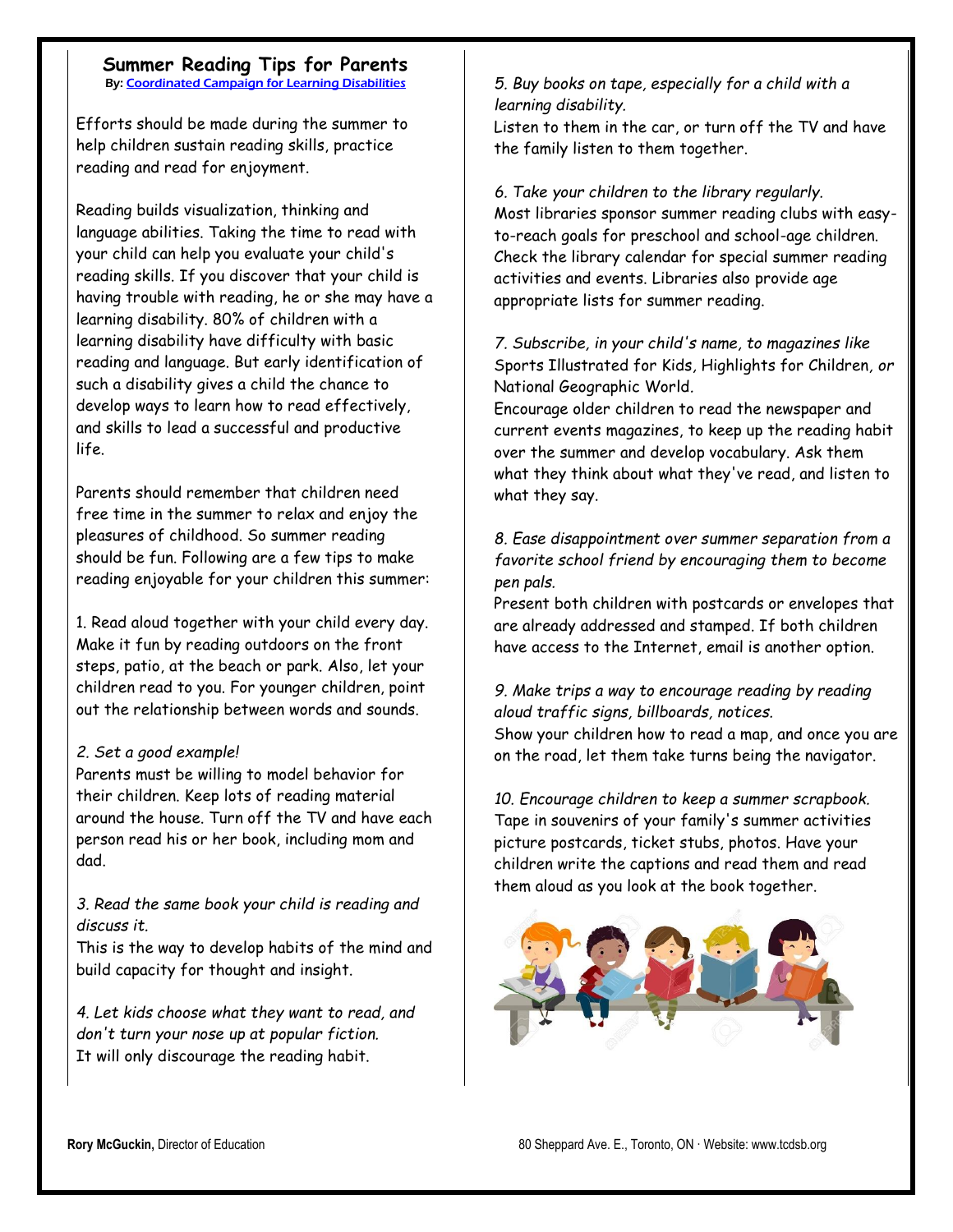## **Summer Reading Tips for Parents**

By[: Coordinated Campaign for Learning Disabilities](http://www.readingrockets.org/articles/by-author/88904)

Efforts should be made during the summer to help children sustain reading skills, practice reading and read for enjoyment.

Reading builds visualization, thinking and language abilities. Taking the time to read with your child can help you evaluate your child's reading skills. If you discover that your child is having trouble with reading, he or she may have a learning disability. 80% of children with a learning disability have difficulty with basic reading and language. But early identification of such a disability gives a child the chance to develop ways to learn how to read effectively, and skills to lead a successful and productive life.

Parents should remember that children need free time in the summer to relax and enjoy the pleasures of childhood. So summer reading should be fun. Following are a few tips to make reading enjoyable for your children this summer:

1. Read aloud together with your child every day. Make it fun by reading outdoors on the front steps, patio, at the beach or park. Also, let your children read to you. For younger children, point out the relationship between words and sounds.

#### *2. Set a good example!*

Parents must be willing to model behavior for their children. Keep lots of reading material around the house. Turn off the TV and have each person read his or her book, including mom and dad.

*3. Read the same book your child is reading and discuss it.*

This is the way to develop habits of the mind and build capacity for thought and insight.

*4. Let kids choose what they want to read, and don't turn your nose up at popular fiction.* It will only discourage the reading habit.

#### *5. Buy books on tape, especially for a child with a learning disability.*

Listen to them in the car, or turn off the TV and have the family listen to them together.

#### *6. Take your children to the library regularly.*

Most libraries sponsor summer reading clubs with easyto-reach goals for preschool and school-age children. Check the library calendar for special summer reading activities and events. Libraries also provide age appropriate lists for summer reading.

#### *7. Subscribe, in your child's name, to magazines like*  Sports Illustrated for Kids*,* Highlights for Children*, or*  National Geographic World*.*

Encourage older children to read the newspaper and current events magazines, to keep up the reading habit over the summer and develop vocabulary. Ask them what they think about what they've read, and listen to what they say.

#### *8. Ease disappointment over summer separation from a favorite school friend by encouraging them to become pen pals.*

Present both children with postcards or envelopes that are already addressed and stamped. If both children have access to the Internet, email is another option.

#### *9. Make trips a way to encourage reading by reading aloud traffic signs, billboards, notices.* Show your children how to read a map, and once you are on the road, let them take turns being the navigator.

*10. Encourage children to keep a summer scrapbook.* Tape in souvenirs of your family's summer activities picture postcards, ticket stubs, photos. Have your children write the captions and read them and read them aloud as you look at the book together.

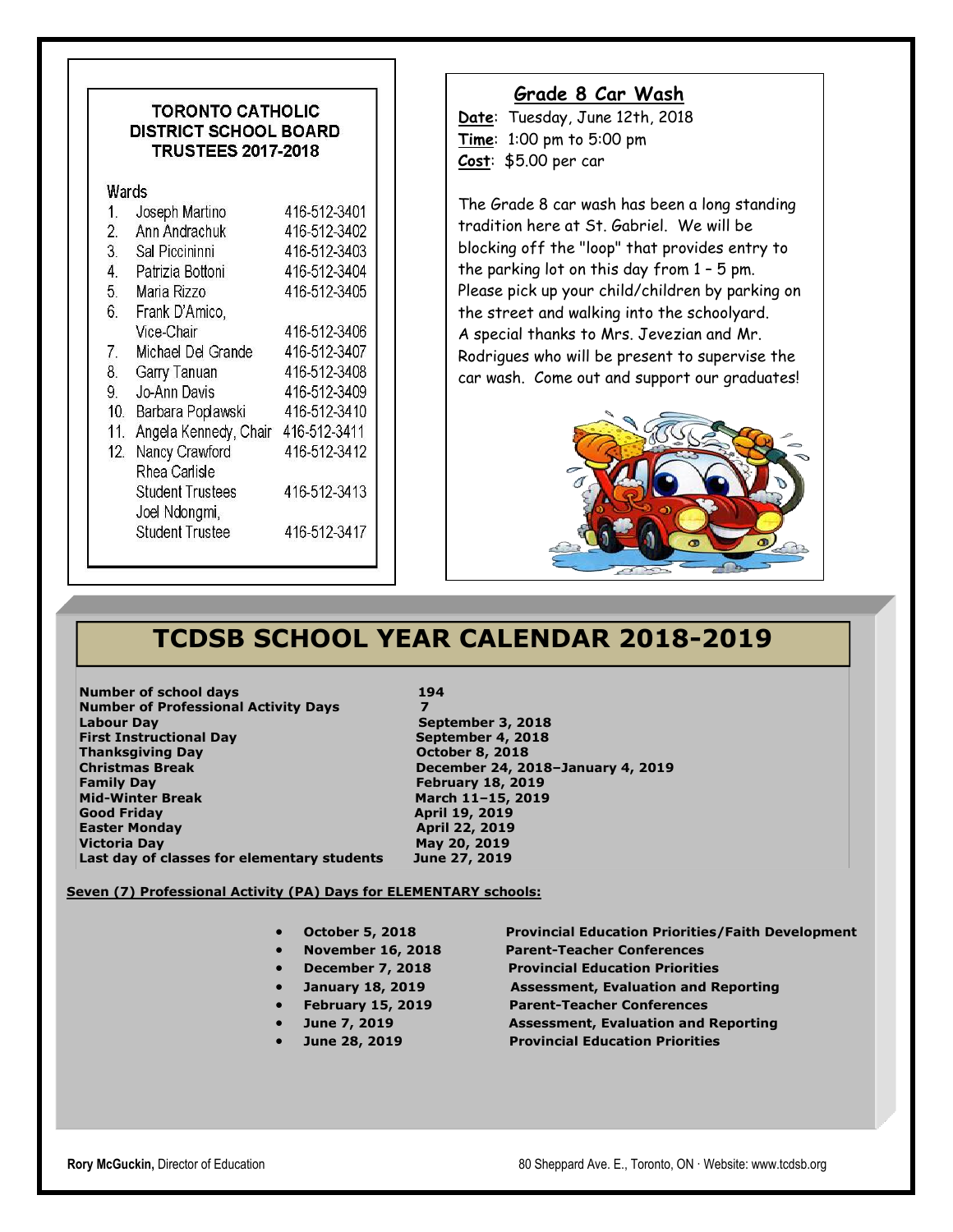#### **TORONTO CATHOLIC DISTRICT SCHOOL BOARD TRUSTEES 2017-2018**

#### **Wards**

| 1.              | Joseph Martino          | 416-512-3401 |
|-----------------|-------------------------|--------------|
| 2.              | Ann Andrachuk           | 416-512-3402 |
| 3.              | Sal Piccininni          | 416-512-3403 |
| 4.              | Patrizia Bottoni        | 416-512-3404 |
| 5.              | Maria Rizzo             | 416-512-3405 |
| 6.              | Frank D'Amico,          |              |
|                 | Vice-Chair              | 416-512-3406 |
| 7.              | Michael Del Grande      | 416-512-3407 |
| 8.              | Garry Tanuan            | 416-512-3408 |
| 9.              | Jo-Ann Davis            | 416-512-3409 |
| 10 <sub>1</sub> | Barbara Poplawski       | 416-512-3410 |
| 11.             | Angela Kennedy, Chair   | 416-512-3411 |
| 12.             | Nancy Crawford          | 416-512-3412 |
|                 | Rhea Carlisle           |              |
|                 | <b>Student Trustees</b> | 416-512-3413 |
|                 | Joel Ndongmi,           |              |
|                 | <b>Student Trustee</b>  | 416-512-3417 |
|                 |                         |              |

#### **Grade 8 Car Wash**

**Date**: Tuesday, June 12th, 2018 **Time**: 1:00 pm to 5:00 pm **Cost**: \$5.00 per car

The Grade 8 car wash has been a long standing tradition here at St. Gabriel. We will be blocking off the "loop" that provides entry to the parking lot on this day from 1 – 5 pm. Please pick up your child/children by parking on the street and walking into the schoolyard. A special thanks to Mrs. Jevezian and Mr. Rodrigues who will be present to supervise the car wash. Come out and support our graduates!



## **TCDSB SCHOOL YEAR CALENDAR 2018-2019**

**Number of school days** 194 **Number of Professional Activity Days 7 Labour Day September 3, 2018 First Instructional Day September 4, 2018 Thanksgiving Day Community Community Community Community Community October 8, 2018 Christmas Break December 24, 2018–January 4, 2019 Family Day February 18, 2019 Mid-Winter Break March 11–15, 2019 Good Friday April 19, 2019 Easter Monday April 22, 2019 Victoria Day May 20, 2019 Last day of classes for elementary students June 27, 2019**

#### **Seven (7) Professional Activity (PA) Days for ELEMENTARY schools:**

- -
- 
- 
- **February 15, 2019 Parent-Teacher Conferences**
- 
- 

**October 5, 2018 Provincial Education Priorities/Faith Development** 

- **November 16, 2018 Parent-Teacher Conferences**
- **December 7, 2018 Provincial Education Priorities**
- **January 18, 2019 Assessment, Evaluation and Reporting**
	-
- **June 7, 2019 Assessment, Evaluation and Reporting**
- **June 28, 2019 Provincial Education Priorities**